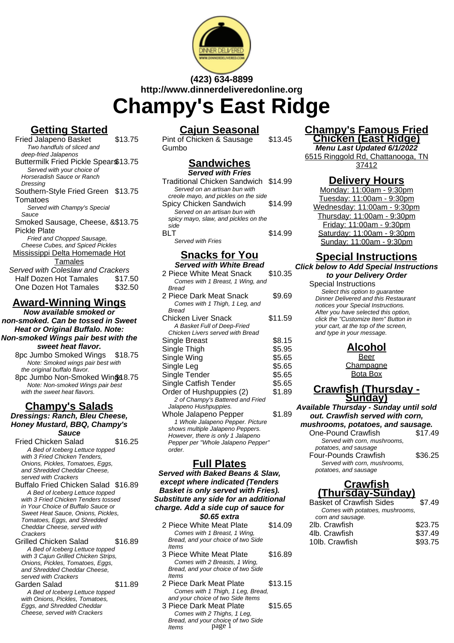

# **(423) 634-8899 http://www.dinnerdeliveredonline.org Champy's East Ridge**

## **Getting Started**

Fried Jalapeno Basket \$13.75 Two handfuls of sliced and deep-fried Jalapenos Buttermilk Fried Pickle Spears\$13.75 Served with your choice of Horseradish Sauce or Ranch Dressing Southern-Style Fried Green \$13.75 Tomatoes Served with Champy's Special Sauce Smoked Sausage, Cheese, & \$13.75 Pickle Plate Fried and Chopped Sausage, Cheese Cubes, and Spiced Pickles Mississippi Delta Homemade Hot **Tamales** Served with Coleslaw and Crackers Half Dozen Hot Tamales \$17.50 One Dozen Hot Tamales \$32.50

# **Award-Winning Wings**

**Now available smoked or non-smoked. Can be tossed in Sweet Heat or Original Buffalo. Note: Non-smoked Wings pair best with the sweet heat flavor.**

8pc Jumbo Smoked Wings \$18.75 Note: Smoked wings pair best with the original buffalo flavor.

8pc Jumbo Non-Smoked Wind38.75 Note: Non-smoked Wings pair best with the sweet heat flavors.

#### **Champy's Salads Dressings: Ranch, Bleu Cheese, Honey Mustard, BBQ, Champy's Sauce**

Fried Chicken Salad \$16.25 A Bed of Iceberg Lettuce topped with 3 Fried Chicken Tenders, Onions, Pickles, Tomatoes, Eggs, and Shredded Cheddar Cheese, served with Crackers

Buffalo Fried Chicken Salad \$16.89 A Bed of Iceberg Lettuce topped with 3 Fried Chicken Tenders tossed in Your Choice of Buffalo Sauce or Sweet Heat Sauce, Onions, Pickles, Tomatoes, Eggs, and Shredded Cheddar Cheese, served with Crackers

Grilled Chicken Salad \$16.89 A Bed of Iceberg Lettuce topped with 3 Cajun Grilled Chicken Strips, Onions, Pickles, Tomatoes, Eggs, and Shredded Cheddar Cheese, served with Crackers Garden Salad \$11.89

A Bed of Iceberg Lettuce topped with Onions, Pickles, Tomatoes, Eggs, and Shredded Cheddar Cheese, served with Crackers

## **Cajun Seasonal**

Pint of Chicken & Sausage Gumbo \$13.45

# **Sandwiches**

| <b>Served with Fries</b>             |         |
|--------------------------------------|---------|
| Traditional Chicken Sandwich \$14.99 |         |
| Served on an artisan bun with        |         |
| creole mayo, and pickles on the side |         |
| Spicy Chicken Sandwich               | \$14.99 |
| Served on an artisan bun with        |         |
| spicy mayo, slaw, and pickles on the |         |
| side                                 |         |
| BI T                                 | \$14.99 |
| Served with Fries                    |         |

# **Snacks for You**

| <b>Served with White Bread</b>               |         |
|----------------------------------------------|---------|
| 2 Piece White Meat Snack                     | \$10.35 |
| Comes with 1 Breast, 1 Wing, and             |         |
| Bread                                        |         |
| 2 Piece Dark Meat Snack                      | \$9.69  |
| Comes with 1 Thigh, 1 Leg, and               |         |
| <b>Bread</b>                                 |         |
| Chicken Liver Snack                          | \$11.59 |
| A Basket Full of Deep-Fried                  |         |
| Chicken Livers served with Bread             |         |
| Single Breast                                | \$8.15  |
| Single Thigh                                 | \$5.95  |
| Single Wing                                  | \$5.65  |
| Single Leg                                   | \$5.65  |
| Single Tender                                | \$5.65  |
| Single Catfish Tender                        | \$5.65  |
| Order of Hushpuppies (2)                     | \$1.89  |
| 2 of Champy's Battered and Fried             |         |
| Jalapeno Hushpuppies.                        |         |
| Whole Jalapeno Pepper                        | \$1.89  |
| 1 Whole Jalapeno Pepper. Picture             |         |
| shows multiple Jalapeno Peppers.             |         |
| However, there is only 1 Jalapeno            |         |
| Pepper per "Whole Jalapeno Pepper"<br>order. |         |
|                                              |         |

## **Full Plates**

**Served with Baked Beans & Slaw, except where indicated (Tenders Basket is only served with Fries). Substitute any side for an additional charge. Add a side cup of sauce for \$0.65 extra**

- 2 Piece White Meat Plate \$14.09 Comes with 1 Breast, 1 Wing, Bread, and your choice of two Side Items
- 3 Piece White Meat Plate \$16.89 Comes with 2 Breasts, 1 Wing, Bread, and your choice of two Side Items
- 2 Piece Dark Meat Plate \$13.15 Comes with 1 Thigh, 1 Leg, Bread, and your choice of two Side Items
- 3 Piece Dark Meat Plate \$15.65 Comes with 2 Thighs, 1 Leg, Bread, and your choice of two Side Items page 1

#### **Champy's Famous Fried Chicken (East Ridge)**

**Menu Last Updated 6/1/2022** 6515 Ringgold Rd, Chattanooga, TN 37412

### **Delivery Hours**

Monday: 11:00am - 9:30pm Tuesday: 11:00am - 9:30pm Wednesday: 11:00am - 9:30pm Thursday: 11:00am - 9:30pm Friday: 11:00am - 9:30pm Saturday: 11:00am - 9:30pm Sunday: 11:00am - 9:30pm

## **Special Instructions**

**Click below to Add Special Instructions to your Delivery Order**

Special Instructions

Select this option to quarantee Dinner Delivered and this Restaurant notices your Special Instructions. After you have selected this option, click the "Customize Item" Button in your cart, at the top of the screen, and type in your message.

**Alcohol**

Beer **Champagne** Bota Box

#### **Crawfish (Thursday - Sunday)**

**Available Thursday - Sunday until sold out. Crawfish served with corn, mushrooms, potatoes, and sausage.**

One-Pound Crawfish \$17.49 Served with corn, mushrooms, potatoes, and sausage Four-Pounds Crawfish \$36.25 Served with corn, mushrooms, potatoes, and sausage

### **Crawfish (Thursday-Sunday)**

| <b>Basket of Crawfish Sides</b> | \$7.49  |
|---------------------------------|---------|
| Comes with potatoes, mushrooms, |         |
| corn and sausage.               |         |
| 2lb. Crawfish                   | \$23.75 |
| 4lb. Crawfish                   | \$37.49 |
| 10lb. Crawfish                  | \$93.75 |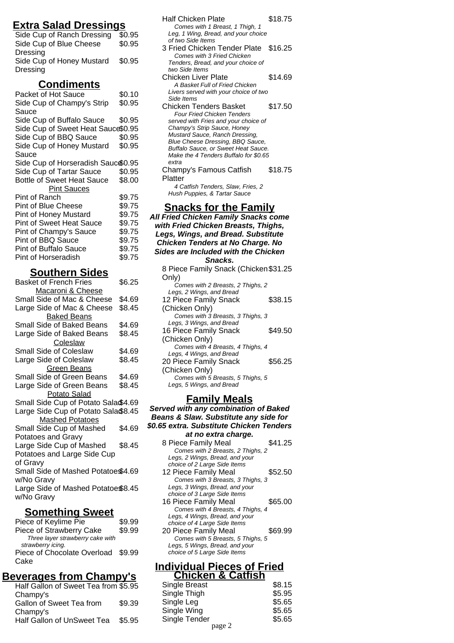## **Extra Salad Dressings**

Side Cup of Ranch Dressing \$0.95 Side Cup of Blue Cheese Dressing \$0.95 Side Cup of Honey Mustard **Dressing** \$0.95

### **Condiments**

| Packet of Hot Sauce                  | \$0.10 |
|--------------------------------------|--------|
| Side Cup of Champy's Strip           | \$0.95 |
| Sauce                                |        |
| Side Cup of Buffalo Sauce            | \$0.95 |
| Side Cup of Sweet Heat Sauce\$0.95   |        |
| Side Cup of BBQ Sauce                | \$0.95 |
| Side Cup of Honey Mustard            | \$0.95 |
| Sauce                                |        |
| Side Cup of Horseradish Sauc $$0.95$ |        |
| Side Cup of Tartar Sauce             | \$0.95 |
| Bottle of Sweet Heat Sauce           | \$8.00 |
| <b>Pint Sauces</b>                   |        |
| Pint of Ranch                        | \$9.75 |
| Pint of Blue Cheese                  | \$9.75 |
| <b>Pint of Honey Mustard</b>         | \$9.75 |
| <b>Pint of Sweet Heat Sauce</b>      | \$9.75 |
| Pint of Champy's Sauce               | \$9.75 |
| <b>Pint of BBQ Sauce</b>             | \$9.75 |
| Pint of Buffalo Sauce                | \$9.75 |
| Pint of Horseradish                  | \$9.75 |
|                                      |        |

# **Southern Sides**

| <b>Basket of French Fries</b>       | \$6.25 |
|-------------------------------------|--------|
| Macaroni & Cheese                   |        |
| Small Side of Mac & Cheese          | \$4.69 |
| Large Side of Mac & Cheese          | \$8.45 |
| <b>Baked Beans</b>                  |        |
| Small Side of Baked Beans           | \$4.69 |
| Large Side of Baked Beans           | \$8.45 |
| Coleslaw                            |        |
| <b>Small Side of Coleslaw</b>       | \$4.69 |
| Large Side of Coleslaw              | \$8.45 |
| <b>Green Beans</b>                  |        |
| <b>Small Side of Green Beans</b>    | \$4.69 |
| Large Side of Green Beans           | \$8.45 |
| Potato Salad                        |        |
| Small Side Cup of Potato Sala\$4.69 |        |
| Large Side Cup of Potato Sala\$8.45 |        |
| Mashed Potatoes                     |        |
| Small Side Cup of Mashed            | \$4.69 |
| Potatoes and Gravy                  |        |
| Large Side Cup of Mashed            | \$8.45 |
| Potatoes and Large Side Cup         |        |
| of Gravy                            |        |
| Small Side of Mashed Potatoe\$4.69  |        |
| w/No Gravy                          |        |
| Large Side of Mashed Potatoe\$8.45  |        |
| w/No Gravy                          |        |

# **Something Sweet**

| Piece of Keylime Pie               | \$9.99 |
|------------------------------------|--------|
| Piece of Strawberry Cake           | \$9.99 |
| Three layer strawberry cake with   |        |
| strawberry icing.                  |        |
| Piece of Chocolate Overload \$9.99 |        |
| Cake                               |        |

# **Beverages from Champy's**

| Half Gallon of Sweet Tea from \$5.95 |        |
|--------------------------------------|--------|
| Champy's                             |        |
| Gallon of Sweet Tea from             | \$9.39 |
| Champy's                             |        |
| Half Gallon of UnSweet Tea           | \$5.95 |
|                                      |        |

| Half Chicken Plate<br>Comes with 1 Breast, 1 Thigh, 1<br>Leg. 1 Wing, Bread, and your choice                                                                                                                                                                                             | \$18.75 |
|------------------------------------------------------------------------------------------------------------------------------------------------------------------------------------------------------------------------------------------------------------------------------------------|---------|
| of two Side Items<br>3 Fried Chicken Tender Plate \$16.25<br>Comes with 3 Fried Chicken<br>Tenders, Bread, and your choice of<br>two Side Items                                                                                                                                          |         |
| Chicken Liver Plate<br>A Basket Full of Fried Chicken<br>Livers served with your choice of two<br>Side Items                                                                                                                                                                             | \$14.69 |
| Chicken Tenders Basket<br><b>Four Fried Chicken Tenders</b><br>served with Fries and your choice of<br>Champy's Strip Sauce, Honey<br>Mustard Sauce, Ranch Dressing,<br>Blue Cheese Dressing, BBQ Sauce,<br>Buffalo Sauce, or Sweet Heat Sauce.<br>Make the 4 Tenders Buffalo for \$0.65 | \$17.50 |
| extra<br>Champy's Famous Catfish<br>Platter<br>4 Catfish Tenders, Slaw, Fries, 2<br>Hush Puppies, & Tartar Sauce                                                                                                                                                                         | \$18.75 |
| <b>Snacks for the Family</b><br>All Fried Chicken Family Snacks come<br>with Fried Chicken Breasts, Thighs,<br>Legs, Wings, and Bread. Substitute<br><b>Chicken Tenders at No Charge. No</b><br><b>Sides are Included with the Chicken</b><br>Snacks.                                    |         |
| 8 Piece Family Snack (Chicken \$31.25<br>Only)                                                                                                                                                                                                                                           |         |

| (Only                             |         |
|-----------------------------------|---------|
| Comes with 2 Breasts, 2 Thighs, 2 |         |
| Legs, 2 Wings, and Bread          |         |
| 12 Piece Family Snack             | \$38.15 |
| (Chicken Only)                    |         |
| Comes with 3 Breasts, 3 Thighs, 3 |         |
| Legs, 3 Wings, and Bread          |         |
| 16 Piece Family Snack             | \$49.50 |
| (Chicken Only)                    |         |
| Comes with 4 Breasts, 4 Thighs, 4 |         |
| Legs, 4 Wings, and Bread          |         |
| 20 Piece Family Snack             | \$56.25 |
| (Chicken Only)                    |         |
| Comes with 5 Breasts, 5 Thighs, 5 |         |
| Legs, 5 Wings, and Bread          |         |
|                                   |         |

### **Family Meals**

**Served with any combination of Baked Beans & Slaw. Substitute any side for \$0.65 extra. Substitute Chicken Tenders at no extra charge.**

| at no cxtra charge.               |         |
|-----------------------------------|---------|
| 8 Piece Family Meal               | \$41.25 |
| Comes with 2 Breasts, 2 Thighs, 2 |         |
| Legs, 2 Wings, Bread, and your    |         |
| choice of 2 Large Side Items      |         |
| 12 Piece Family Meal              | \$52.50 |
| Comes with 3 Breasts, 3 Thighs, 3 |         |
| Legs, 3 Wings, Bread, and your    |         |
| choice of 3 Large Side Items      |         |
| 16 Piece Family Meal              | \$65.00 |
| Comes with 4 Breasts, 4 Thighs, 4 |         |
| Legs, 4 Wings, Bread, and your    |         |
| choice of 4 Large Side Items      |         |
| 20 Piece Family Meal              | \$69.99 |
| Comes with 5 Breasts, 5 Thighs, 5 |         |
| Legs, 5 Wings, Bread, and your    |         |
| choice of 5 Large Side Items      |         |

#### **Individual Pieces of Fried Chicken & Catfish**

| UNIVRUI & VANIJII |        |
|-------------------|--------|
| Single Breast     | \$8.15 |
| Single Thigh      | \$5.95 |
| Single Leg        | \$5.65 |
| Single Wing       | \$5.65 |
| Single Tender     | \$5.65 |
| page 2            |        |